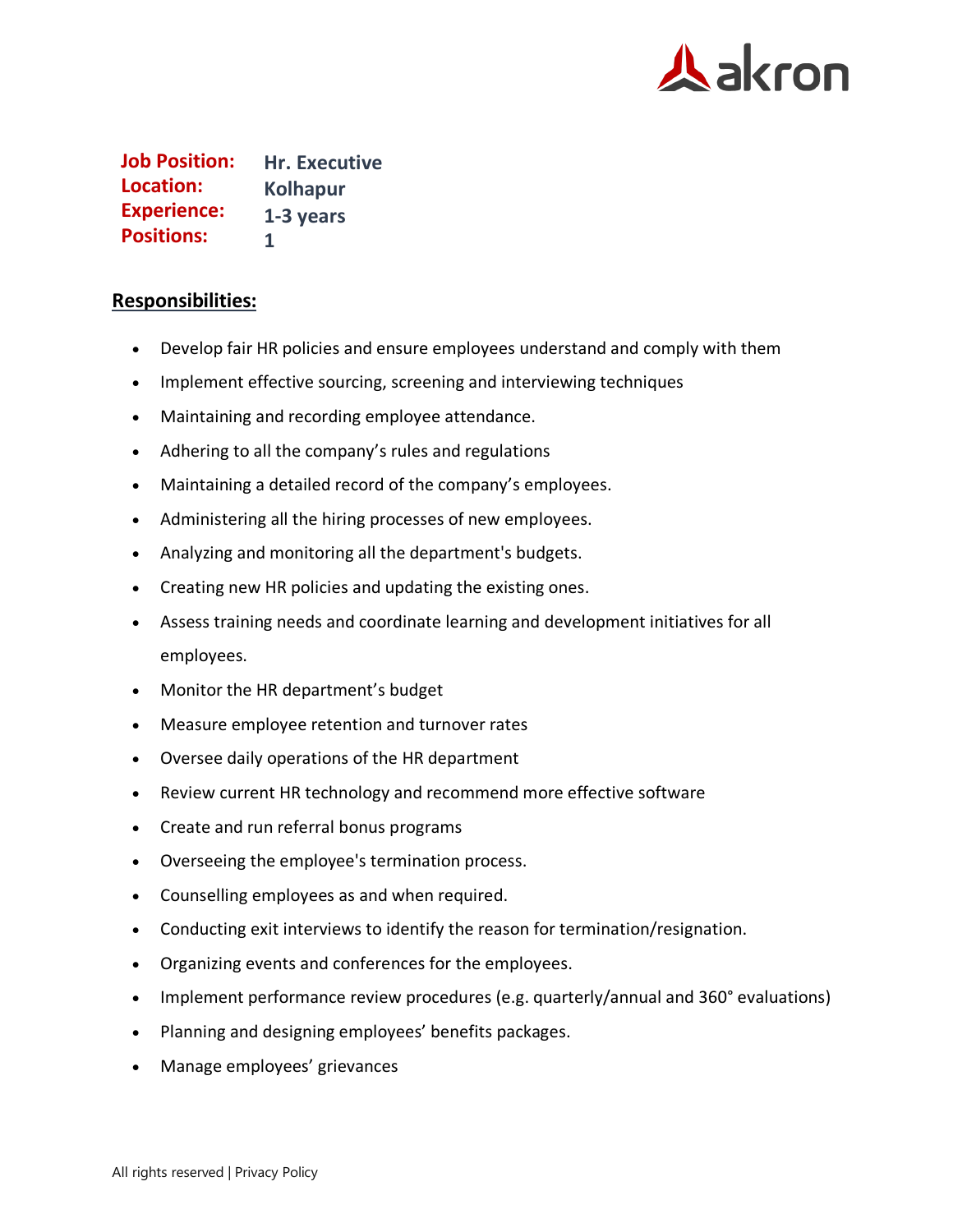

**Job Position: Hr. Executive Kolhapur 1-3 years 1 Location: Experience: Positions:**

## **Responsibilities:**

- Develop fair HR policies and ensure employees understand and comply with them
- Implement effective sourcing, screening and interviewing techniques
- Maintaining and recording employee attendance.
- Adhering to all the company's rules and regulations
- Maintaining a detailed record of the company's employees.
- Administering all the hiring processes of new employees.
- Analyzing and monitoring all the department's budgets.
- Creating new HR policies and updating the existing ones.
- Assess training needs and coordinate learning and development initiatives for all employees.
- Monitor the HR department's budget
- Measure employee retention and turnover rates
- Oversee daily operations of the HR department
- Review current HR technology and recommend more effective software
- Create and run referral bonus programs
- Overseeing the employee's termination process.
- Counselling employees as and when required.
- Conducting exit interviews to identify the reason for termination/resignation.
- Organizing events and conferences for the employees.
- Implement performance review procedures (e.g. quarterly/annual and 360° evaluations)
- Planning and designing employees' benefits packages.
- Manage employees' grievances